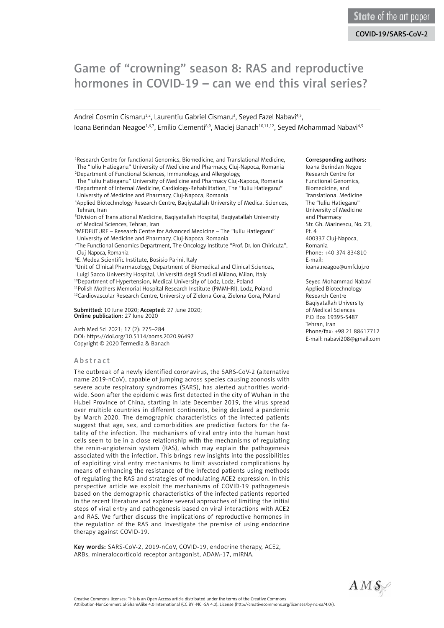# Game of "crowning" season 8: RAS and reproductive hormones in COVID-19 – can we end this viral series?

Andrei Cosmin Cismaru<sup>1,2</sup>, Laurentiu Gabriel Cismaru<sup>3</sup>, Seyed Fazel Nabavi<sup>4,5</sup>, Ioana Berindan-Neagoe<sup>1,6,7</sup>, Emilio Clementi<sup>8,9</sup>, Maciei Banach<sup>10,11,12</sup>, Seyed Mohammad Nabayi<sup>4,5</sup>

<sup>1</sup>Research Centre for functional Genomics, Biomedicine, and Translational Medicine, The "Iuliu Hatieganu" University of Medicine and Pharmacy, Cluj-Napoca, Romania 2Department of Functional Sciences, Immunology, and Allergology,

 The "Iuliu Hatieganu" University of Medicine and Pharmacy Cluj-Napoca, Romania <sup>3</sup>Department of Internal Medicine, Cardiology-Rehabilitation, The "Iuliu Hatieganu" University of Medicine and Pharmacy, Cluj-Napoca, Romania

 4Applied Biotechnology Research Centre, Baqiyatallah University of Medical Sciences, Tehran, Iran

 5Division of Translational Medicine, Baqiyatallah Hospital, Baqiyatallah University of Medical Sciences, Tehran, Iran

 6MEDFUTURE – Research Centre for Advanced Medicine – The "Iuliu Hatieganu" University of Medicine and Pharmacy, Cluj-Napoca, Romania

 7The Functional Genomics Department, The Oncology Institute "Prof. Dr. Ion Chiricuta", Cluj-Napoca, Romania

8E. Medea Scientific Institute, Bosisio Parini, Italy

 9Unit of Clinical Pharmacology, Department of Biomedical and Clinical Sciences, Luigi Sacco University Hospital, Università degli Studi di Milano, Milan, Italy

<sup>10</sup>Department of Hypertension, Medical University of Lodz, Lodz, Poland

<sup>11</sup>Polish Mothers Memorial Hospital Research Institute (PMMHRI), Lodz, Poland

<sup>12</sup>Cardiovascular Research Centre, University of Zielona Gora, Zielona Gora, Poland

Submitted: 10 June 2020; Accepted: 27 June 2020; Online publication: 27 June 2020

Arch Med Sci 2021; 17 (2): 275–284 DOI: https://doi.org/10.5114/aoms.2020.96497 Copyright © 2020 Termedia & Banach

#### Abstract

The outbreak of a newly identified coronavirus, the SARS-CoV-2 (alternative name 2019-nCoV), capable of jumping across species causing zoonosis with severe acute respiratory syndromes (SARS), has alerted authorities worldwide. Soon after the epidemic was first detected in the city of Wuhan in the Hubei Province of China, starting in late December 2019, the virus spread over multiple countries in different continents, being declared a pandemic by March 2020. The demographic characteristics of the infected patients suggest that age, sex, and comorbidities are predictive factors for the fatality of the infection. The mechanisms of viral entry into the human host cells seem to be in a close relationship with the mechanisms of regulating the renin-angiotensin system (RAS), which may explain the pathogenesis associated with the infection. This brings new insights into the possibilities of exploiting viral entry mechanisms to limit associated complications by means of enhancing the resistance of the infected patients using methods of regulating the RAS and strategies of modulating ACE2 expression. In this perspective article we exploit the mechanisms of COVID-19 pathogenesis based on the demographic characteristics of the infected patients reported in the recent literature and explore several approaches of limiting the initial steps of viral entry and pathogenesis based on viral interactions with ACE2 and RAS. We further discuss the implications of reproductive hormones in the regulation of the RAS and investigate the premise of using endocrine therapy against COVID-19.

Key words: SARS-CoV-2, 2019-nCoV, COVID-19, endocrine therapy, ACE2, ARBs, mineralocorticoid receptor antagonist, ADAM-17, miRNA.

#### Corresponding authors:

Ioana Berindan Negoe Research Centre for Functional Genomics, Biomedicine, and Translational Medicine The "Iuliu Hatieganu" University of Medicine and Pharmacy Str. Gh. Marinescu, No. 23, Et. 4 400337 Cluj-Napoca, Romania Phone: +40-374-834810 E-mail: [ioana.neagoe@umfcluj.ro](mailto:ioana.neagoe@umfcluj.ro)

Seyed Mohammad Nabavi Applied Biotechnology Research Centre Baqiyatallah University of Medical Sciences P.O. Box 19395-5487 Tehran, Iran Phone/fax: +98 21 88617712 E-mail: [nabavi208@gmail.com](mailto:nabavi208@gmail.com)



Creative Commons licenses: This is an Open Access article distributed under the terms of the Creative Commons Attribution-NonCommercial-ShareAlike 4.0 International (CC BY -NC -SA 4.0). License (http://creativecommons.org/licenses/by-nc-sa/4.0/).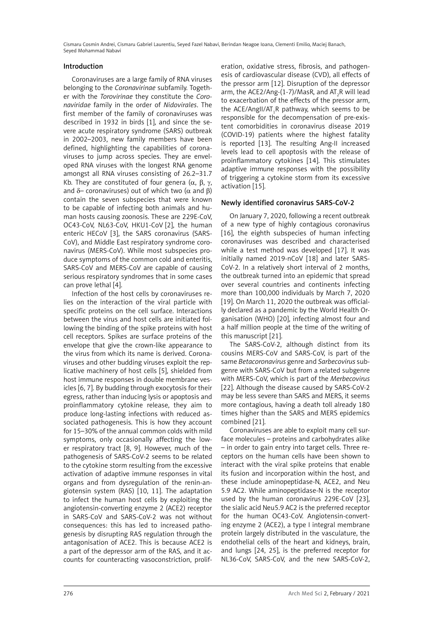## Introduction

Coronaviruses are a large family of RNA viruses belonging to the *Coronavirinae* subfamily. Together with the *Torovirinae* they constitute the *Coronaviridae* family in the order of *Nidovirales*. The first member of the family of coronaviruses was described in 1932 in birds [1], and since the severe acute respiratory syndrome (SARS) outbreak in 2002–2003, new family members have been defined, highlighting the capabilities of coronaviruses to jump across species. They are enveloped RNA viruses with the longest RNA genome amongst all RNA viruses consisting of 26.2–31.7 Kb. They are constituted of four genera  $(\alpha, \beta, \gamma, \gamma)$ and  $δ$ – coronaviruses) out of which two ( $α$  and  $β$ ) contain the seven subspecies that were known to be capable of infecting both animals and human hosts causing zoonosis. These are 229E-CoV, OC43-CoV, NL63-CoV, HKU1-CoV [2], the human enteric HECoV [3], the SARS coronavirus (SARS-CoV), and Middle East respiratory syndrome coronavirus (MERS-CoV). While most subspecies produce symptoms of the common cold and enteritis, SARS-CoV and MERS-CoV are capable of causing serious respiratory syndromes that in some cases can prove lethal [4].

Infection of the host cells by coronaviruses relies on the interaction of the viral particle with specific proteins on the cell surface. Interactions between the virus and host cells are initiated following the binding of the spike proteins with host cell receptors. Spikes are surface proteins of the envelope that give the crown-like appearance to the virus from which its name is derived. Coronaviruses and other budding viruses exploit the replicative machinery of host cells [5], shielded from host immune responses in double membrane vesicles [6, 7]. By budding through exocytosis for their egress, rather than inducing lysis or apoptosis and proinflammatory cytokine release, they aim to produce long-lasting infections with reduced associated pathogenesis. This is how they account for 15–30% of the annual common colds with mild symptoms, only occasionally affecting the lower respiratory tract [8, 9]. However, much of the pathogenesis of SARS-CoV-2 seems to be related to the cytokine storm resulting from the excessive activation of adaptive immune responses in vital organs and from dysregulation of the renin-angiotensin system (RAS) [10, 11]. The adaptation to infect the human host cells by exploiting the angiotensin-converting enzyme 2 (ACE2) receptor in SARS-CoV and SARS-CoV-2 was not without consequences: this has led to increased pathogenesis by disrupting RAS regulation through the antagonisation of ACE2. This is because ACE2 is a part of the depressor arm of the RAS, and it accounts for counteracting vasoconstriction, prolif-

eration, oxidative stress, fibrosis, and pathogenesis of cardiovascular disease (CVD), all effects of the pressor arm [12]. Disruption of the depressor arm, the ACE2/Ang-(1-7)/MasR, and AT<sub>2</sub>R will lead to exacerbation of the effects of the pressor arm, the ACE/AngII/AT<sub>1</sub>R pathway, which seems to be responsible for the decompensation of pre-existent comorbidities in coronavirus disease 2019 (COVID-19) patients where the highest fatality is reported [13]. The resulting Ang-II increased levels lead to cell apoptosis with the release of proinflammatory cytokines [14]. This stimulates adaptive immune responses with the possibility of triggering a cytokine storm from its excessive activation [15].

## Newly identified coronavirus SARS-CoV-2

On January 7, 2020, following a recent outbreak of a new type of highly contagious coronavirus [16], the eighth subspecies of human infecting coronaviruses was described and characterised while a test method was developed [17]. It was initially named 2019-nCoV [18] and later SARS-CoV-2. In a relatively short interval of 2 months, the outbreak turned into an epidemic that spread over several countries and continents infecting more than 100,000 individuals by March 7, 2020 [19]. On March 11, 2020 the outbreak was officially declared as a pandemic by the World Health Organisation (WHO) [20], infecting almost four and a half million people at the time of the writing of this manuscript [21].

The SARS-CoV-2, although distinct from its cousins MERS-CoV and SARS-CoV, is part of the same *Betacoronavirus* genre and *Sarbecovirus* subgenre with SARS-CoV but from a related subgenre with MERS-CoV, which is part of the *Merbecovirus* [22]. Although the disease caused by SARS-CoV-2 may be less severe than SARS and MERS, it seems more contagious, having a death toll already 180 times higher than the SARS and MERS epidemics combined [21].

Coronaviruses are able to exploit many cell surface molecules – proteins and carbohydrates alike – in order to gain entry into target cells. Three receptors on the human cells have been shown to interact with the viral spike proteins that enable its fusion and incorporation within the host, and these include aminopeptidase-N, ACE2, and Neu 5.9 AC2. While aminopeptidase-N is the receptor used by the human coronavirus 229E-CoV [23], the sialic acid Neu5.9 AC2 is the preferred receptor for the human OC43-CoV. Angiotensin-converting enzyme 2 (ACE2), a type I integral membrane protein largely distributed in the vasculature, the endothelial cells of the heart and kidneys, brain, and lungs [24, 25], is the preferred receptor for NL36-CoV, SARS-CoV, and the new SARS-CoV-2,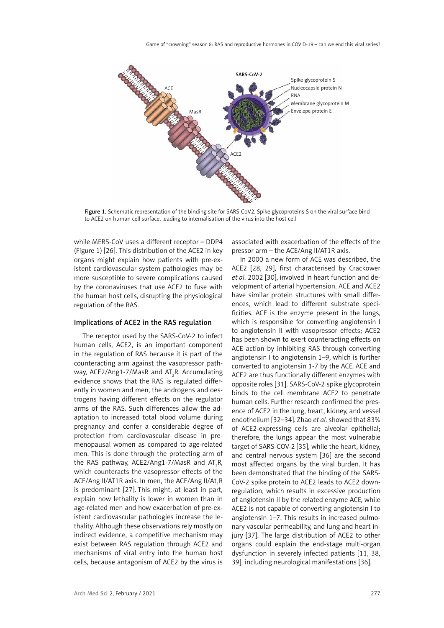

Figure 1. Schematic representation of the binding site for SARS-CoV2. Spike glycoproteins S on the viral surface bind to ACE2 on human cell surface, leading to internalisation of the virus into the host cell

while MERS-CoV uses a different receptor – DDP4 (Figure 1) [26]. This distribution of the ACE2 in key organs might explain how patients with pre-existent cardiovascular system pathologies may be more susceptible to severe complications caused by the coronaviruses that use ACE2 to fuse with the human host cells, disrupting the physiological regulation of the RAS.

#### Implications of ACE2 in the RAS regulation

The receptor used by the SARS-CoV-2 to infect human cells, ACE2, is an important component in the regulation of RAS because it is part of the counteracting arm against the vasopressor pathway, ACE2/Ang1-7/MasR and AT<sub>2</sub>R. Accumulating evidence shows that the RAS is regulated differently in women and men, the androgens and oestrogens having different effects on the regulator arms of the RAS. Such differences allow the adaptation to increased total blood volume during pregnancy and confer a considerable degree of protection from cardiovascular disease in premenopausal women as compared to age-related men. This is done through the protecting arm of the RAS pathway, ACE2/Ang1-7/MasR and AT<sub>2</sub>R, which counteracts the vasopressor effects of the ACE/Ang II/AT1R axis. In men, the ACE/Ang II/A $\rm t_i$ R is predominant [27]. This might, at least in part, explain how lethality is lower in women than in age-related men and how exacerbation of pre-existent cardiovascular pathologies increase the lethality. Although these observations rely mostly on indirect evidence, a competitive mechanism may exist between RAS regulation through ACE2 and mechanisms of viral entry into the human host cells, because antagonism of ACE2 by the virus is

associated with exacerbation of the effects of the pressor arm – the ACE/Ang II/AT1R axis.

In 2000 a new form of ACE was described, the ACE2 [28, 29], first characterised by Crackower *et al.* 2002 [30], involved in heart function and development of arterial hypertension. ACE and ACE2 have similar protein structures with small differences, which lead to different substrate specificities. ACE is the enzyme present in the lungs, which is responsible for converting angiotensin I to angiotensin II with vasopressor effects; ACE2 has been shown to exert counteracting effects on ACE action by inhibiting RAS through converting angiotensin I to angiotensin 1–9, which is further converted to angiotensin 1-7 by the ACE. ACE and ACE2 are thus functionally different enzymes with opposite roles [31]. SARS-CoV-2 spike glycoprotein binds to the cell membrane ACE2 to penetrate human cells. Further research confirmed the presence of ACE2 in the lung, heart, kidney, and vessel endothelium [32–34]. Zhao *et al.* showed that 83% of ACE2-expressing cells are alveolar epithelial; therefore, the lungs appear the most vulnerable target of SARS-COV-2 [35], while the heart, kidney, and central nervous system [36] are the second most affected organs by the viral burden. It has been demonstrated that the binding of the SARS-CoV-2 spike protein to ACE2 leads to ACE2 downregulation, which results in excessive production of angiotensin II by the related enzyme ACE, while ACE2 is not capable of converting angiotensin I to angiotensin 1–7. This results in increased pulmonary vascular permeability, and lung and heart injury [37]. The large distribution of ACE2 to other organs could explain the end-stage multi-organ dysfunction in severely infected patients [11, 38, 39], including neurological manifestations [36].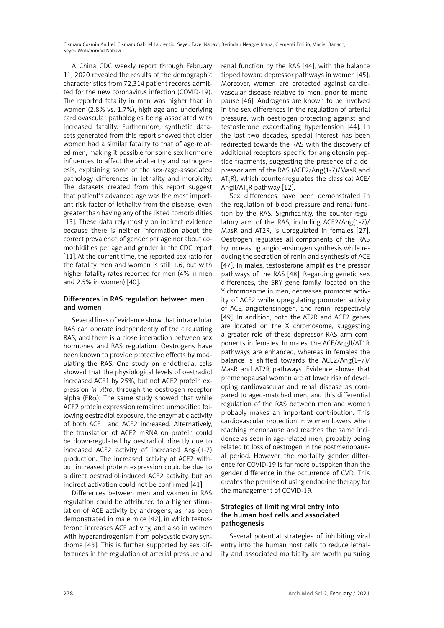A China CDC weekly report through February 11, 2020 revealed the results of the demographic characteristics from 72,314 patient records admitted for the new coronavirus infection (COVID-19). The reported fatality in men was higher than in women (2.8% vs. 1.7%), high age and underlying cardiovascular pathologies being associated with increased fatality. Furthermore, synthetic datasets generated from this report showed that older women had a similar fatality to that of age-related men, making it possible for some sex hormone influences to affect the viral entry and pathogenesis, explaining some of the sex-/age-associated pathology differences in lethality and morbidity. The datasets created from this report suggest that patient's advanced age was the most important risk factor of lethality from the disease, even greater than having any of the listed comorbidities [13]. These data rely mostly on indirect evidence because there is neither information about the correct prevalence of gender per age nor about comorbidities per age and gender in the CDC report [11].At the current time, the reported sex ratio for the fatality men and women is still 1.6, but with higher fatality rates reported for men (4% in men and 2.5% in women) [40].

## Differences in RAS regulation between men and women

Several lines of evidence show that intracellular RAS can operate independently of the circulating RAS, and there is a close interaction between sex hormones and RAS regulation. Oestrogens have been known to provide protective effects by modulating the RAS. One study on endothelial cells showed that the physiological levels of oestradiol increased ACE1 by 25%, but not ACE2 protein expression *in vitro*, through the oestrogen receptor alpha (ER $\alpha$ ). The same study showed that while ACE2 protein expression remained unmodified following oestradiol exposure, the enzymatic activity of both ACE1 and ACE2 increased. Alternatively, the translation of ACE2 mRNA on protein could be down-regulated by oestradiol, directly due to increased ACE2 activity of increased Ang-(1-7) production. The increased activity of ACE2 without increased protein expression could be due to a direct oestradiol-induced ACE2 activity, but an indirect activation could not be confirmed [41].

Differences between men and women in RAS regulation could be attributed to a higher stimulation of ACE activity by androgens, as has been demonstrated in male mice [42], in which testosterone increases ACE activity, and also in women with hyperandrogenism from polycystic ovary syndrome [43]. This is further supported by sex differences in the regulation of arterial pressure and

renal function by the RAS [44], with the balance tipped toward depressor pathways in women [45]. Moreover, women are protected against cardiovascular disease relative to men, prior to menopause [46]. Androgens are known to be involved in the sex differences in the regulation of arterial pressure, with oestrogen protecting against and testosterone exacerbating hypertension [44]. In the last two decades, special interest has been redirected towards the RAS with the discovery of additional receptors specific for angiotensin peptide fragments, suggesting the presence of a depressor arm of the RAS (ACE2/Ang(1-7)/MasR and AT<sub>2</sub>R), which counter-regulates the classical ACE/ Angll/AT ${}_{1}$ R pathway [12].

Sex differences have been demonstrated in the regulation of blood pressure and renal function by the RAS. Significantly, the counter-regulatory arm of the RAS, including ACE2/Ang(1-7)/ MasR and AT2R, is upregulated in females [27]. Oestrogen regulates all components of the RAS by increasing angiotensinogen synthesis while reducing the secretion of renin and synthesis of ACE [47]. In males, testosterone amplifies the pressor pathways of the RAS [48]. Regarding genetic sex differences, the SRY gene family, located on the Y chromosome in men, decreases promoter activity of ACE2 while upregulating promoter activity of ACE, angiotensinogen, and renin, respectively [49]. In addition, both the AT2R and ACE2 genes are located on the X chromosome, suggesting a greater role of these depressor RAS arm components in females. In males, the ACE/AngII/AT1R pathways are enhanced, whereas in females the balance is shifted towards the ACE2/Ang(1–7)/ MasR and AT2R pathways. Evidence shows that premenopausal women are at lower risk of developing cardiovascular and renal disease as compared to aged-matched men, and this differential regulation of the RAS between men and women probably makes an important contribution. This cardiovascular protection in women lowers when reaching menopause and reaches the same incidence as seen in age-related men, probably being related to loss of oestrogen in the postmenopausal period. However, the mortality gender difference for COVID-19 is far more outspoken than the gender difference in the occurrence of CVD. This creates the premise of using endocrine therapy for the management of COVID-19.

## Strategies of limiting viral entry into the human host cells and associated pathogenesis

Several potential strategies of inhibiting viral entry into the human host cells to reduce lethality and associated morbidity are worth pursuing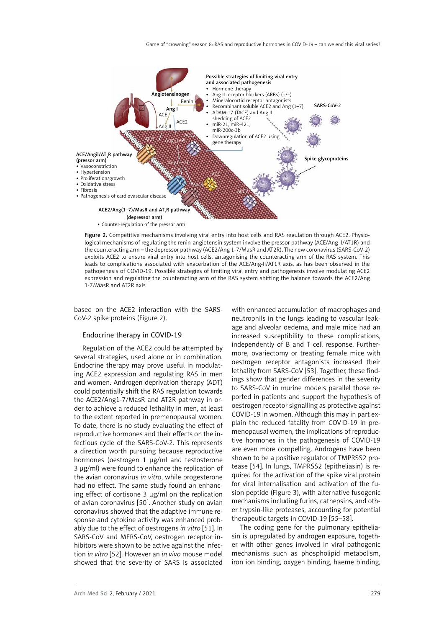

Figure 2. Competitive mechanisms involving viral entry into host cells and RAS regulation through ACE2. Physiological mechanisms of regulating the renin-angiotensin system involve the pressor pathway (ACE/Ang II/AT1R) and the counteracting arm – the depressor pathway (ACE2/Ang 1-7/MasR and AT2R). The new coronavirus (SARS-CoV-2) exploits ACE2 to ensure viral entry into host cells, antagonising the counteracting arm of the RAS system. This leads to complications associated with exacerbation of the ACE/Ang-II/AT1R axis, as has been observed in the pathogenesis of COVID-19. Possible strategies of limiting viral entry and pathogenesis involve modulating ACE2 expression and regulating the counteracting arm of the RAS system shifting the balance towards the ACE2/Ang 1-7/MasR and AT2R axis

based on the ACE2 interaction with the SARS-CoV-2 spike proteins (Figure 2).

#### Endocrine therapy in COVID-19

Regulation of the ACE2 could be attempted by several strategies, used alone or in combination. Endocrine therapy may prove useful in modulating ACE2 expression and regulating RAS in men and women. Androgen deprivation therapy (ADT) could potentially shift the RAS regulation towards the ACE2/Ang1-7/MasR and AT2R pathway in order to achieve a reduced lethality in men, at least to the extent reported in premenopausal women. To date, there is no study evaluating the effect of reproductive hormones and their effects on the infectious cycle of the SARS-CoV-2. This represents a direction worth pursuing because reproductive hormones (oestrogen 1 µg/ml and testosterone 3 µg/ml) were found to enhance the replication of the avian coronavirus *in vitro*, while progesterone had no effect. The same study found an enhancing effect of cortisone 3 µg/ml on the replication of avian coronavirus [50]. Another study on avian coronavirus showed that the adaptive immune response and cytokine activity was enhanced probably due to the effect of oestrogens *in vitro* [51]. In SARS-CoV and MERS-CoV, oestrogen receptor inhibitors were shown to be active against the infection *in vitro* [52]. However an *in vivo* mouse model showed that the severity of SARS is associated with enhanced accumulation of macrophages and neutrophils in the lungs leading to vascular leakage and alveolar oedema, and male mice had an increased susceptibility to these complications, independently of B and T cell response. Furthermore, ovariectomy or treating female mice with oestrogen receptor antagonists increased their lethality from SARS-CoV [53]. Together, these findings show that gender differences in the severity to SARS-CoV in murine models parallel those reported in patients and support the hypothesis of oestrogen receptor signalling as protective against COVID-19 in women. Although this may in part explain the reduced fatality from COVID-19 in premenopausal women, the implications of reproductive hormones in the pathogenesis of COVID-19 are even more compelling. Androgens have been shown to be a positive regulator of TMPRSS2 protease [54]. In lungs, TMPRSS2 (epitheliasin) is required for the activation of the spike viral protein for viral internalisation and activation of the fusion peptide (Figure 3), with alternative fusogenic mechanisms including furins, cathepsins, and other trypsin-like proteases, accounting for potential therapeutic targets in COVID-19 [55–58].

The coding gene for the pulmonary epitheliasin is upregulated by androgen exposure, together with other genes involved in viral pathogenic mechanisms such as phospholipid metabolism, iron ion binding, oxygen binding, haeme binding,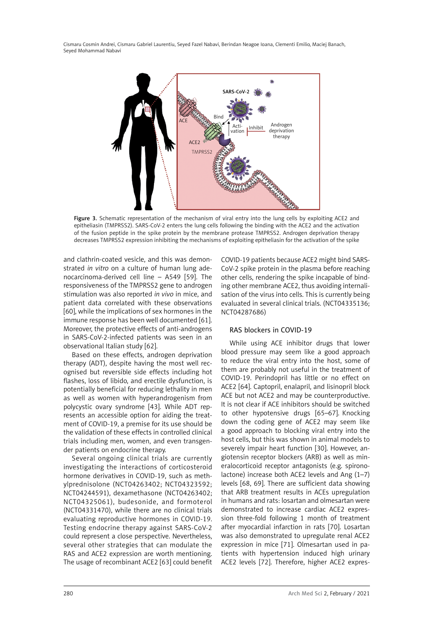

Figure 3. Schematic representation of the mechanism of viral entry into the lung cells by exploiting ACE2 and epitheliasin (TMPRSS2). SARS-CoV-2 enters the lung cells following the binding with the ACE2 and the activation of the fusion peptide in the spike protein by the membrane protease TMPRSS2. Androgen deprivation therapy decreases TMPRSS2 expression inhibiting the mechanisms of exploiting epitheliasin for the activation of the spike

and clathrin-coated vesicle, and this was demonstrated *in vitro* on a culture of human lung adenocarcinoma-derived cell line – A549 [59]. The responsiveness of the TMPRSS2 gene to androgen stimulation was also reported *in vivo* in mice, and patient data correlated with these observations [60], while the implications of sex hormones in the immune response has been well documented [61]. Moreover, the protective effects of anti-androgens in SARS-CoV-2-infected patients was seen in an observational Italian study [62].

Based on these effects, androgen deprivation therapy (ADT), despite having the most well recognised but reversible side effects including hot flashes, loss of libido, and erectile dysfunction, is potentially beneficial for reducing lethality in men as well as women with hyperandrogenism from polycystic ovary syndrome [43]. While ADT represents an accessible option for aiding the treatment of COVID-19, a premise for its use should be the validation of these effects in controlled clinical trials including men, women, and even transgender patients on endocrine therapy.

Several ongoing clinical trials are currently investigating the interactions of corticosteroid hormone derivatives in COVID-19, such as methylprednisolone (NCT04263402; NCT04323592; NCT04244591), dexamethasone (NCT04263402; NCT04325061), budesonide, and formoterol (NCT04331470), while there are no clinical trials evaluating reproductive hormones in COVID-19. Testing endocrine therapy against SARS-CoV-2 could represent a close perspective. Nevertheless, several other strategies that can modulate the RAS and ACE2 expression are worth mentioning. The usage of recombinant ACE2 [63] could benefit

COVID-19 patients because ACE2 might bind SARS-CoV-2 spike protein in the plasma before reaching other cells, rendering the spike incapable of binding other membrane ACE2, thus avoiding internalisation of the virus into cells. This is currently being evaluated in several clinical trials. (NCT04335136; NCT04287686)

## RAS blockers in COVID-19

While using ACE inhibitor drugs that lower blood pressure may seem like a good approach to reduce the viral entry into the host, some of them are probably not useful in the treatment of COVID-19. Perindopril has little or no effect on ACE2 [64]. Captopril, enalapril, and lisinopril block ACE but not ACE2 and may be counterproductive. It is not clear if ACE inhibitors should be switched to other hypotensive drugs [65–67]. Knocking down the coding gene of ACE2 may seem like a good approach to blocking viral entry into the host cells, but this was shown in animal models to severely impair heart function [30]. However, angiotensin receptor blockers (ARB) as well as mineralocorticoid receptor antagonists (e.g. spironolactone) increase both ACE2 levels and Ang (1–7) levels [68, 69]. There are sufficient data showing that ARB treatment results in ACEs upregulation in humans and rats: losartan and olmesartan were demonstrated to increase cardiac ACE2 expression three-fold following 1 month of treatment after myocardial infarction in rats [70]. Losartan was also demonstrated to upregulate renal ACE2 expression in mice [71]. Olmesartan used in patients with hypertension induced high urinary ACE2 levels [72]. Therefore, higher ACE2 expres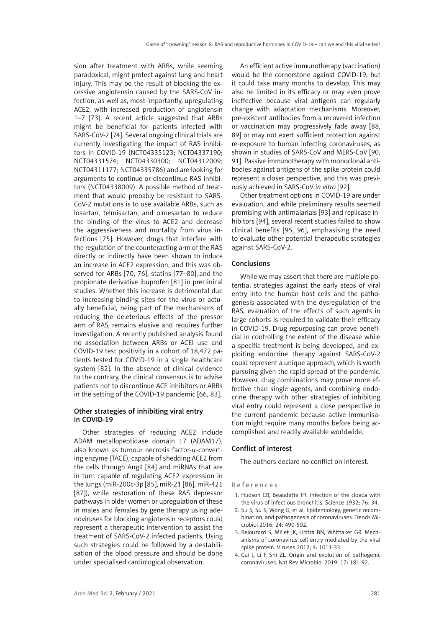sion after treatment with ARBs, while seeming paradoxical, might protect against lung and heart injury. This may be the result of blocking the excessive angiotensin caused by the SARS-CoV infection, as well as, most importantly, upregulating ACE2, with increased production of angiotensin 1–7 [73]. A recent article suggested that ARBs might be beneficial for patients infected with SARS-CoV-2 [74]. Several ongoing clinical trials are currently investigating the impact of RAS inhibitors in COVID-19 (NCT04335123; NCT04337190; NCT04331574; NCT04330300; NCT04312009; NCT04311177; NCT04335786) and are looking for arguments to continue or discontinue RAS inhibitors (NCT04338009). A possible method of treatment that would probably be resistant to SARS-CoV-2 mutations is to use available ARBs, such as losartan, telmisartan, and olmesartan to reduce the binding of the virus to ACE2 and decrease the aggressiveness and mortality from virus infections [75]. However, drugs that interfere with the regulation of the counteracting arm of the RAS directly or indirectly have been shown to induce an increase in ACE2 expression, and this was observed for ARBs [70, 76], statins [77–80], and the propionate derivative ibuprofen [81] in preclinical studies. Whether this increase is detrimental due to increasing binding sites for the virus or actually beneficial, being part of the mechanisms of reducing the deleterious effects of the pressor arm of RAS, remains elusive and requires further investigation. A recently published analysis found no association between ARBs or ACEI use and COVID-19 test positivity in a cohort of 18,472 patients tested for COVID-19 in a single healthcare system [82]. In the absence of clinical evidence to the contrary, the clinical consensus is to advise patients not to discontinue ACE inhibitors or ARBs in the setting of the COVID-19 pandemic [66, 83].

## Other strategies of inhibiting viral entry in COVID-19

Other strategies of reducing ACE2 include ADAM metallopeptidase domain 17 (ADAM17), also known as tumour necrosis factor-α-converting enzyme (TACE), capable of shedding ACE2 from the cells through AngII [84] and miRNAs that are in turn capable of regulating ACE2 expression in the lungs (miR-200c-3p [85], miR-21 [86], miR-421 [87]), while restoration of these RAS depressor pathways in older women or upregulation of these in males and females by gene therapy using adenoviruses for blocking angiotensin receptors could represent a therapeutic intervention to assist the treatment of SARS-CoV-2 infected patients. Using such strategies could be followed by a destabilisation of the blood pressure and should be done under specialised cardiological observation.

An efficient active immunotherapy (vaccination) would be the cornerstone against COVID-19, but it could take many months to develop. This may also be limited in its efficacy or may even prove ineffective because viral antigens can regularly change with adaptation mechanisms. Moreover, pre-existent antibodies from a recovered infection or vaccination may progressively fade away [88, 89] or may not exert sufficient protection against re-exposure to human infecting coronaviruses, as shown in studies of SARS-CoV and MERS-CoV [90, 91]. Passive immunotherapy with monoclonal antibodies against antigens of the spike protein could represent a closer perspective, and this was previously achieved in SARS-CoV *in vitro* [92].

Other treatment options in COVID-19 are under evaluation, and while preliminary results seemed promising with antimalarials [93] and replicase inhibitors [94], several recent studies failed to show clinical benefits [95, 96], emphasising the need to evaluate other potential therapeutic strategies against SARS-CoV-2.

#### Conclusions

While we may assert that there are multiple potential strategies against the early steps of viral entry into the human host cells and the pathogenesis associated with the dysregulation of the RAS, evaluation of the effects of such agents in large cohorts is required to validate their efficacy in COVID-19. Drug repurposing can prove beneficial in controlling the extent of the disease while a specific treatment is being developed, and exploiting endocrine therapy against SARS-CoV-2 could represent a unique approach, which is worth pursuing given the rapid spread of the pandemic. However, drug combinations may prove more effective than single agents, and combining endocrine therapy with other strategies of inhibiting viral entry could represent a close perspective in the current pandemic because active immunisation might require many months before being accomplished and readily available worldwide.

### Conflict of interest

The authors declare no conflict on interest.

#### References

- 1. Hudson CB, Beaudette FR. Infection of the cloaca with the virus of infectious bronchitis. Science 1932; 76: 34.
- 2. Su S, Su S, Wong G, et al. Epidemiology, genetic recombination, and pathogenesis of coronaviruses. Trends Microbiol 2016; 24: 490-502.
- 3. Belouzard S, Millet JK, Licitra BN, Whittaker GR. Mechanisms of coronavirus cell entry mediated by the viral spike protein. Viruses 2012; 4: 1011-33.
- 4. Cui J, Li F, Shi ZL. Origin and evolution of pathogenic coronaviruses. Nat Rev Microbiol 2019; 17: 181-92.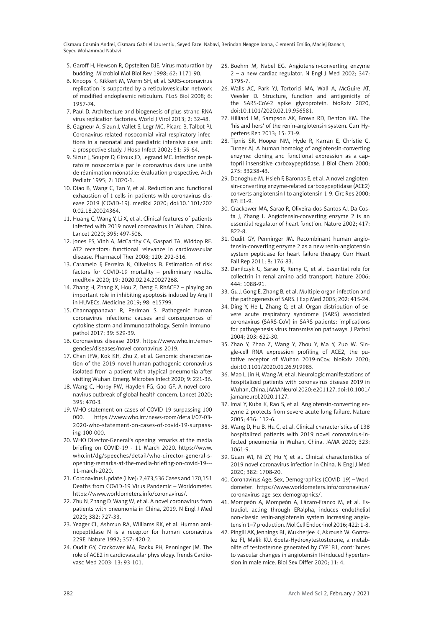- 5. Garoff H, Hewson R, Opstelten DJE. Virus maturation by budding. Microbiol Mol Biol Rev 1998; 62: 1171-90.
- 6. Knoops K, Kikkert M, Worm SH, et al. SARS-coronavirus replication is supported by a reticulovesicular network of modified endoplasmic reticulum. PLoS Biol 2008; 6: 1957-74.
- 7. Paul D. Architecture and biogenesis of plus-strand RNA virus replication factories. World J Virol 2013; 2: 32-48.
- 8. Gagneur A, Sizun J, Vallet S, Legr MC, Picard B, Talbot PJ. Coronavirus-related nosocomial viral respiratory infections in a neonatal and paediatric intensive care unit: a prospective study. J Hosp Infect 2002; 51: 59-64.
- 9. Sizun J, Soupre D, Giroux JD, Legrand MC. Infection respiratoire nosocomiale par le coronavirus dars une unité de réanimation néonatále: évaluation prospective. Arch Pediatr 1995; 2: 1020-1.
- 10. Diao B, Wang C, Tan Y, et al. Reduction and functional exhaustion of t cells in patients with coronavirus disease 2019 (COVID-19). medRxi 2020; doi:10.1101/202 0.02.18.20024364.
- 11. Huang C, Wang Y, Li X, et al. Clinical features of patients infected with 2019 novel coronavirus in Wuhan, China. Lancet 2020; 395: 497-506.
- 12. Jones ES, Vinh A, McCarthy CA, Gaspari TA, Widdop RE. AT2 receptors: functional relevance in cardiovascular disease. Pharmacol Ther 2008; 120: 292-316.
- 13. Caramelo F, Ferreira N, Oliveiros B. Estimation of risk factors for COVID-19 mortality – preliminary results. medRxiv 2020; 19: 2020.02.24.20027268.
- 14. Zhang H, Zhang X, Hou Z, Deng F. RhACE2 playing an important role in inhibiting apoptosis induced by Ang II in HUVECs. Medicine 2019; 98: e15799.
- 15. Channappanavar R, Perlman S. Pathogenic human coronavirus infections: causes and consequences of cytokine storm and immunopathology. Semin Immunopathol 2017; 39: 529-39.
- 16. Coronavirus disease 2019. https://www.who.int/emergencies/diseases/novel-coronavirus-2019.
- 17. Chan JFW, Kok KH, Zhu Z, et al. Genomic characterization of the 2019 novel human-pathogenic coronavirus isolated from a patient with atypical pneumonia after visiting Wuhan. Emerg. Microbes Infect 2020; 9: 221-36.
- 18. Wang C, Horby PW, Hayden FG, Gao GF. A novel coronavirus outbreak of global health concern. Lancet 2020; 395: 470-3.
- 19. WHO statement on cases of COVID-19 surpassing 100 000. https://www.who.int/news-room/detail/07-03- 2020-who-statement-on-cases-of-covid-19-surpassing-100-000.
- 20. WHO Director-General's opening remarks at the media briefing on COVID-19 - 11 March 2020. https://www. who.int/dg/speeches/detail/who-director-general-sopening-remarks-at-the-media-briefing-on-covid-19--- 11-march-2020.
- 21. Coronavirus Update (Live): 2,473,536 Cases and 170,151 Deaths from COVID-19 Virus Pandemic – Worldometer. https://www.worldometers.info/coronavirus/.
- 22. Zhu N, Zhang D, Wang W, et al. A novel coronavirus from patients with pneumonia in China, 2019. N Engl J Med 2020; 382: 727-33.
- 23. Yeager CL, Ashmun RA, Williams RK, et al. Human aminopeptidase N is a receptor for human coronavirus 229E. Nature 1992; 357: 420-2.
- 24. Oudit GY, Crackower MA, Backx PH, Penninger JM. The role of ACE2 in cardiovascular physiology. Trends Cardiovasc Med 2003; 13: 93-101.
- 25. Boehm M, Nabel EG. Angiotensin-converting enzyme 2 – a new cardiac regulator. N Engl J Med 2002; 347: 1795-7.
- 26. Walls AC, Park YJ, Tortorici MA, Wall A, McGuire AT, Veesler D. Structure, function and antigenicity of the SARS-CoV-2 spike glycoprotein. bioRxiv 2020, doi:10.1101/2020.02.19.956581.
- 27. Hilliard LM, Sampson AK, Brown RD, Denton KM. The 'his and hers' of the renin-angiotensin system. Curr Hypertens Rep 2013; 15: 71-9.
- 28. Tipnis SR, Hooper NM, Hyde R, Karran E, Christie G, Turner AJ. A human homolog of angiotensin-converting enzyme: cloning and functional expression as a captopril-insensitive carboxypeptidase. J Biol Chem 2000; 275: 33238-43.
- 29. Donoghue M, Hsieh F, Baronas E, et al. A novel angiotensin-converting enzyme-related carboxypeptidase (ACE2) converts angiotensin I to angiotensin 1-9. Circ Res 2000; 87: E1-9.
- 30. Crackower MA, Sarao R, Oliveira-dos-Santos AJ, Da Costa J, Zhang L. Angiotensin-converting enzyme 2 is an essential regulator of heart function. Nature 2002; 417: 822-8.
- 31. Oudit GY, Penninger JM. Recombinant human angiotensin-converting enzyme 2 as a new renin-angiotensin system peptidase for heart failure therapy. Curr Heart Fail Rep 2011; 8: 176-83.
- 32. Danilczyk U, Sarao R, Remy C, et al. Essential role for collectrin in renal amino acid transport. Nature 2006; 444: 1088-91.
- 33. Gu J, Gong E, Zhang B, et al. Multiple organ infection and the pathogenesis of SARS. J Exp Med 2005; 202: 415-24.
- 34. Ding Y, He L, Zhang Q, et al. Organ distribution of severe acute respiratory syndrome (SARS) associated coronavirus (SARS-CoV) in SARS patients: implications for pathogenesis virus transmission pathways. J Pathol 2004; 203: 622-30.
- 35. Zhao Y, Zhao Z, Wang Y, Zhou Y, Ma Y, Zuo W. Single-cell RNA expression profiling of ACE2, the putative receptor of Wuhan 2019-nCov. bioRxiv 2020; doi:10.1101/2020.01.26.919985.
- 36. Mao L, Jin H, Wang M, et al. Neurologic manifestations of hospitalized patients with coronavirus disease 2019 in Wuhan, China. JAMA Neurol 2020; e201127. doi:10.1001/ jamaneurol.2020.1127.
- 37. Imai Y, Kuba K, Rao S, et al. Angiotensin-converting enzyme 2 protects from severe acute lung failure. Nature 2005; 436: 112-6.
- 38. Wang D, Hu B, Hu C, et al. Clinical characteristics of 138 hospitalized patients with 2019 novel coronavirus-infected pneumonia in Wuhan, China. JAMA 2020; 323: 1061-9.
- 39. Guan WJ, Ni ZY, Hu Y, et al. Clinical characteristics of 2019 novel coronavirus infection in China. N Engl J Med 2020; 382: 1708-20.
- 40. Coronavirus Age, Sex, Demographics (COVID-19) Worldometer. https://www.worldometers.info/coronavirus/ coronavirus-age-sex-demographics/.
- 41. Mompeón A, Mompeón A, Lázaro-Franco M, et al. Estradiol, acting through ERalpha, induces endothelial non-classic renin-angiotensin system increasing angiotensin 1–7 production. Mol Cell Endocrinol 2016; 422: 1-8.
- 42. Pingili AK, Jennings BL, Mukherjee K, Akroush W, Gonzalez FJ, Malik KU. 6beta-Hydroxytestosterone, a metabolite of testosterone generated by CYP1B1, contributes to vascular changes in angiotensin II-induced hypertension in male mice. Biol Sex Differ 2020; 11: 4.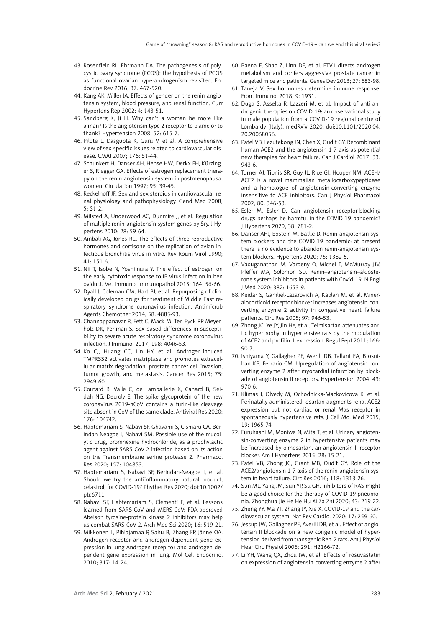- 43. Rosenfield RL, Ehrmann DA. The pathogenesis of polycystic ovary syndrome (PCOS): the hypothesis of PCOS as functional ovarian hyperandrogenism revisited. Endocrine Rev 2016; 37: 467-520.
- 44. Kang AK, Miller JA. Effects of gender on the renin-angiotensin system, blood pressure, and renal function. Curr Hypertens Rep 2002; 4: 143-51.
- 45. Sandberg K, Ji H. Why can't a woman be more like a man? Is the angiotensin type 2 receptor to blame or to thank? Hypertension 2008; 52: 615-7.
- 46. Pilote L, Dasgupta K, Guru V, et al. A comprehensive view of sex-specific issues related to cardiovascular disease. CMAJ 2007; 176: S1-44.
- 47. Schunkert H, Danser AH, Hense HW, Derkx FH, Kürzinger S, Riegger GA. Effects of estrogen replacement therapy on the renin-angiotensin system in postmenopausal women. Circulation 1997; 95: 39-45.
- 48. Reckelhoff JF. Sex and sex steroids in cardiovascular-renal physiology and pathophysiology. Gend Med 2008; 5: S1-2.
- 49. Milsted A, Underwood AC, Dunmire J, et al. Regulation of multiple renin-angiotensin system genes by Sry. J Hypertens 2010; 28: 59-64.
- 50. Ambali AG, Jones RC. The effects of three reproductive hormones and cortisone on the replication of avian infectious bronchitis virus in vitro. Rev Roum Virol 1990; 41: 151-6.
- 51. Nii T, Isobe N, Yoshimura Y. The effect of estrogen on the early cytotoxic response to IB virus infection in hen oviduct. Vet Immunol Immunopathol 2015; 164: 56-66.
- 52. Dyall J, Coleman CM, Hart BJ, et al. Repurposing of clinically developed drugs for treatment of Middle East respiratory syndrome coronavirus infection. Antimicrob Agents Chemother 2014; 58: 4885-93.
- 53. Channappanavar R, Fett C, Mack M, Ten Eyck PP, Meyerholz DK, Perlman S. Sex-based differences in susceptibility to severe acute respiratory syndrome coronavirus infection. J Immunol 2017; 198: 4046-53.
- 54. Ko CJ, Huang CC, Lin HY, et al. Androgen-induced TMPRSS2 activates matriptase and promotes extracellular matrix degradation, prostate cancer cell invasion, tumor growth, and metastasis. Cancer Res 2015; 75: 2949-60.
- 55. Coutard B, Valle C, de Lamballerie X, Canard B, Seidah NG, Decroly E. The spike glycoprotein of the new coronavirus 2019-nCoV contains a furin-like cleavage site absent in CoV of the same clade. Antiviral Res 2020; 176: 104742.
- 56. Habtemariam S, Nabavi SF, Ghavami S, Cismaru CA, Berindan-Neagoe I, Nabavi SM. Possible use of the mucolytic drug, bromhexine hydrochloride, as a prophylactic agent against SARS-CoV-2 infection based on its action on the Transmembrane serine protease 2. Pharmacol Res 2020; 157: 104853.
- 57. Habtemariam S, Nabavi SF, Berindan-Neagoe I, et al. Should we try the antiinflammatory natural product, celastrol, for COVID-19? Phyther Res 2020; doi:10.1002/ ptr.6711.
- 58. Nabavi SF, Habtemariam S, Clementi E, et al. Lessons learned from SARS-CoV and MERS-CoV: FDA-approved Abelson tyrosine-protein kinase 2 inhibitors may help us combat SARS-CoV-2. Arch Med Sci 2020; 16: 519-21.
- 59. Mikkonen L, Pihlajamaa P, Sahu B, Zhang FP, Jänne OA. Androgen receptor and androgen-dependent gene expression in lung Androgen recep-tor and androgen-dependent gene expression in lung. Mol Cell Endocrinol 2010; 317: 14-24.
- 60. Baena E, Shao Z, Linn DE, et al. ETV1 directs androgen metabolism and confers aggressive prostate cancer in targeted mice and patients. Genes Dev 2013; 27: 683-98.
- 61. Taneja V. Sex hormones determine immune response. Front Immunol 2018; 9: 1931.
- 62. Duga S, Asselta R, Lazzeri M, et al. Impact of anti-androgenic therapies on COVID-19: an observational study in male population from a COVID-19 regional centre of Lombardy (Italy). medRxiv 2020, doi:10.1101/2020.04. 20.20068056.
- 63. Patel VB, Lezutekong JN, Chen X, Oudit GY. Recombinant human ACE2 and the angiotensin 1-7 axis as potential new therapies for heart failure. Can J Cardiol 2017; 33: 943-6.
- 64. Turner AJ, Tipnis SR, Guy JL, Rice GI, Hooper NM. ACEH/ ACE2 is a novel mammalian metallocarboxypeptidase and a homologue of angiotensin-converting enzyme insensitive to ACE inhibitors. Can J Physiol Pharmacol 2002; 80: 346-53.
- 65. Esler M, Esler D. Can angiotensin receptor-blocking drugs perhaps be harmful in the COVID-19 pandemic? J Hypertens 2020; 38: 781-2.
- 66. Danser AHJ, Epstein M, Batlle D. Renin-angiotensin system blockers and the COVID-19 pandemic: at present there is no evidence to abandon renin-angiotensin system blockers. Hypertens 2020; 75: 1382-5.
- 67. Vaduganathan M, Vardeny O, Michel T, McMurray JJV, Pfeffer MA, Solomon SD. Renin–angiotensin–aldosterone system inhibitors in patients with Covid-19. N Engl J Med 2020; 382: 1653-9.
- 68. Keidar S, Gamliel-Lazarovich A, Kaplan M, et al. Mineralocorticoid receptor blocker increases angiotensin-converting enzyme 2 activity in congestive heart failure patients. Circ Res 2005; 97: 946-53.
- 69. Zhong JC, Ye JY, Jin HY, et al. Telmisartan attenuates aortic hypertrophy in hypertensive rats by the modulation of ACE2 and profilin-1 expression. Regul Pept 2011; 166: 90-7.
- 70. Ishiyama Y, Gallagher PE, Averill DB, Tallant EA, Brosnihan KB, Ferrario CM. Upregulation of angiotensin-converting enzyme 2 after myocardial infarction by blockade of angiotensin II receptors. Hypertension 2004; 43: 970-6.
- 71. Klimas J, Olvedy M, Ochodnicka-Mackovicova K, et al. Perinatally administered losartan augments renal ACE2 expression but not cardiac or renal Mas receptor in spontaneously hypertensive rats. J Cell Mol Med 2015; 19: 1965-74.
- 72. Furuhashi M, Moniwa N, Mita T, et al. Urinary angiotensin-converting enzyme 2 in hypertensive patients may be increased by olmesartan, an angiotensin II receptor blocker. Am J Hypertens 2015; 28: 15-21.
- 73. Patel VB, Zhong JC, Grant MB, Oudit GY. Role of the ACE2/angiotensin 1-7 axis of the renin-angiotensin system in heart failure. Circ Res 2016; 118: 1313-26.
- 74. Sun ML, Yang JM, Sun YP, Su GH. Inhibitors of RAS might be a good choice for the therapy of COVID-19 pneumonia. Zhonghua Jie He He Hu Xi Za Zhi 2020; 43: 219-22.
- 75. Zheng YY, Ma YT, Zhang JY, Xie X. COVID-19 and the cardiovascular system. Nat Rev Cardiol 2020; 17: 259-60.
- 76. Jessup JW, Gallagher PE, Averill DB, et al. Effect of angiotensin II blockade on a new congenic model of hypertension derived from transgenic Ren-2 rats. Am J Physiol Hear Circ Physiol 2006; 291: H2166-72.
- 77. Li YH, Wang QX, Zhou JW, et al. Effects of rosuvastatin on expression of angiotensin-converting enzyme 2 after